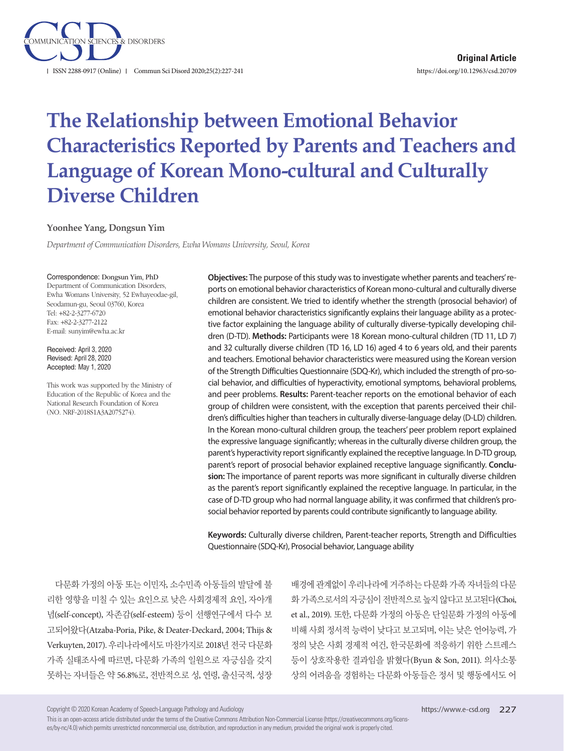

# **The Relationship between Emotional Behavior Characteristics Reported by Parents and Teachers and Language of Korean Mono-cultural and Culturally Diverse Children**

### **Yoonhee Yang, Dongsun Yim**

*Department of Communication Disorders, Ewha Womans University, Seoul, Korea*

#### Correspondence: Dongsun Yim, PhD

Department of Communication Disorders, Ewha Womans University, 52 Ewhayeodae-gil, Seodamun-gu, Seoul 03760, Korea Tel: +82-2-3277-6720 Fax: +82-2-3277-2122 E-mail: sunyim@ewha.ac.kr

Received: April 3, 2020 Revised: April 28, 2020 Accepted: May 1, 2020

This work was supported by the Ministry of Education of the Republic of Korea and the National Research Foundation of Korea (NO. NRF-2018S1A3A2075274).

**Objectives:** The purpose of this study was to investigate whether parents and teachers' reports on emotional behavior characteristics of Korean mono-cultural and culturally diverse children are consistent. We tried to identify whether the strength (prosocial behavior) of emotional behavior characteristics significantly explains their language ability as a protective factor explaining the language ability of culturally diverse-typically developing children (D-TD). **Methods:** Participants were 18 Korean mono-cultural children (TD 11, LD 7) and 32 culturally diverse children (TD 16, LD 16) aged 4 to 6 years old, and their parents and teachers. Emotional behavior characteristics were measured using the Korean version of the Strength Difficulties Questionnaire (SDQ-Kr), which included the strength of pro-social behavior, and difficulties of hyperactivity, emotional symptoms, behavioral problems, and peer problems. **Results:** Parent-teacher reports on the emotional behavior of each group of children were consistent, with the exception that parents perceived their children's difficulties higher than teachers in culturally diverse-language delay (D-LD) children. In the Korean mono-cultural children group, the teachers' peer problem report explained the expressive language significantly; whereas in the culturally diverse children group, the parent's hyperactivity report significantly explained the receptive language. In D-TD group, parent's report of prosocial behavior explained receptive language significantly. **Conclusion:** The importance of parent reports was more significant in culturally diverse children as the parent's report significantly explained the receptive language. In particular, in the case of D-TD group who had normal language ability, it was confirmed that children's prosocial behavior reported by parents could contribute significantly to language ability.

**Keywords:** Culturally diverse children, Parent-teacher reports, Strength and Difficulties Questionnaire (SDQ-Kr), Prosocial behavior, Language ability

다문화 가정의 아동 또는 이민자, 소수민족 아동들의 발달에 불 리한 영향을 미칠 수 있는 요인으로 낮은 사회경제적 요인, 자아개 념(self-concept), 자존감(self-esteem) 등이 선행연구에서 다수 보 고되어왔다(Atzaba-Poria, Pike, & Deater‐Deckard, 2004; Thijs & Verkuyten, 2017). 우리나라에서도 마찬가지로 2018년 전국 다문화 가족 실태조사에 따르면, 다문화 가족의 일원으로 자긍심을 갖지 못하는 자녀들은 약 56.8%로, 전반적으로 성, 연령, 출신국적, 성장

배경에 관계없이 우리나라에 거주하는 다문화 가족 자녀들의 다문 화 가족으로서의 자긍심이 전반적으로 높지 않다고 보고된다(Choi, et al., 2019). 또한, 다문화 가정의 아동은 단일문화 가정의 아동에 비해 사회 정서적 능력이 낮다고 보고되며, 이는 낮은 언어능력, 가 정의 낮은 사회 경제적 여건, 한국문화에 적응하기 위한 스트레스 등이 상호작용한 결과임을 밝혔다(Byun & Son, 2011). 의사소통 상의 어려움을 경험하는 다문화 아동들은 정서 및 행동에서도 어

Copyright © 2020 Korean Academy of Speech-Language Pathology and Audiology

This is an open-access article distributed under the terms of the Creative Commons Attribution Non-Commercial License (https://creativecommons.org/licenses/by-nc/4.0) which permits unrestricted noncommercial use, distribution, and reproduction in any medium, provided the original work is properly cited.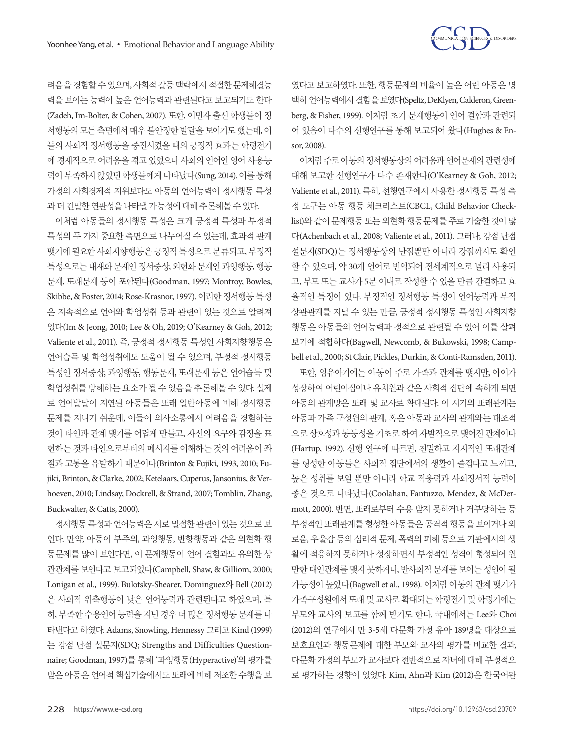

려움을 경험할 수 있으며, 사회적 갈등 맥락에서 적절한 문제해결능 력을 보이는 능력이 높은 언어능력과 관련된다고 보고되기도 한다 (Zadeh, Im-Bolter, & Cohen, 2007). 또한, 이민자 출신 학생들이 정 서행동의 모든 측면에서 매우 불안정한 발달을 보이기도 했는데, 이 들의 사회적 정서행동을 증진시켰을 때의 긍정적 효과는 학령전기 에 경제적으로 어려움을 겪고 있었으나 사회의 언어인 영어 사용능 력이부족하지않았던학생들에게나타났다(Sung, 2014). 이를통해 가정의 사회경제적 지위보다도 아동의 언어능력이 정서행동 특성 과 더 긴밀한 연관성을 나타낼 가능성에 대해 추론해볼 수 있다.

이처럼 아동들의 정서행동 특성은 크게 긍정적 특성과 부정적 특성의 두 가지 중요한 측면으로 나누어질 수 있는데, 효과적 관계 맺기에 필요한 사회지향행동은긍정적특성으로 분류되고, 부정적 특성으로는 내재화 문제인 정서증상, 외현화 문제인 과잉행동, 행동 문제, 또래문제 등이 포함된다(Goodman, 1997; Montroy, Bowles, Skibbe, & Foster, 2014; Rose-Krasnor, 1997). 이러한 정서행동 특성 은 지속적으로 언어와 학업성취 등과 관련이 있는 것으로 알려져 있다(Im & Jeong, 2010; Lee & Oh, 2019; O'Kearney & Goh, 2012; Valiente et al., 2011). 즉, 긍정적 정서행동 특성인 사회지향행동은 언어습득 및 학업성취에도 도움이 될 수 있으며, 부정적 정서행동 특성인 정서증상, 과잉행동, 행동문제, 또래문제 등은 언어습득 및 학업성취를 방해하는 요소가 될 수 있음을 추론해볼 수 있다. 실제 로 언어발달이 지연된 아동들은 또래 일반아동에 비해 정서행동 문제를 지니기 쉬운데, 이들이 의사소통에서 어려움을 경험하는 것이 타인과 관계 맺기를 어렵게 만들고, 자신의 요구와 감정을 표 현하는 것과 타인으로부터의 메시지를 이해하는 것의 어려움이 좌 절과 고통을 유발하기 때문이다(Brinton & Fujiki, 1993, 2010; Fujiki, Brinton, & Clarke, 2002; Ketelaars, Cuperus, Jansonius, & Verhoeven, 2010; Lindsay, Dockrell, & Strand, 2007; Tomblin, Zhang, Buckwalter, & Catts, 2000).

정서행동특성과언어능력은서로밀접한관련이있는것으로보 인다. 만약, 아동이 부주의, 과잉행동, 반항행동과 같은 외현화 행 동문제를 많이 보인다면, 이 문제행동이 언어 결함과도 유의한 상 관관계를 보인다고 보고되었다(Campbell, Shaw, & Gilliom, 2000; Lonigan et al., 1999). Bulotsky-Shearer, Dominguez와 Bell (2012) 은 사회적 위축행동이 낮은 언어능력과 관련된다고 하였으며, 특 히, 부족한 수용언어 능력을 지닌 경우 더 많은 정서행동 문제를 나 타낸다고 하였다. Adams, Snowling, Hennessy 그리고 Kind (1999) 는 강점 난점 설문지(SDQ; Strengths and Difficulties Questionnaire; Goodman, 1997)를 통해 '과잉행동(Hyperactive)'의 평가를 받은 아동은 언어적 핵심기술에서도 또래에 비해 저조한 수행을 보

였다고 보고하였다. 또한, 행동문제의 비율이 높은 어린 아동은 명 백히언어능력에서결함을보였다(Speltz, DeKlyen, Calderon, Greenberg, & Fisher, 1999). 이처럼 초기 문제행동이 언어 결함과 관련되 어 있음이 다수의 선행연구를 통해 보고되어 왔다(Hughes & Ensor, 2008).

이처럼 주로 아동의 정서행동상의 어려움과 언어문제의 관련성에 대해 보고한 선행연구가 다수 존재한다(O'Kearney & Goh, 2012; Valiente et al., 2011). 특히, 선행연구에서 사용한 정서행동 특성 측 정 도구는 아동 행동 체크리스트(CBCL, Child Behavior Checklist)와 같이 문제행동 또는 외현화 행동문제를 주로 기술한 것이 많 다(Achenbach et al., 2008; Valiente et al., 2011). 그러나, 강점 난점 설문지(SDQ)는 정서행동상의 난점뿐만 아니라 강점까지도 확인 할 수 있으며, 약 30개 언어로 번역되어 전세계적으로 널리 사용되 고, 부모 또는 교사가 5분 이내로 작성할 수 있을 만큼 간결하고 효 율적인 특징이 있다. 부정적인 정서행동 특성이 언어능력과 부적 상관관계를 지닐 수 있는 만큼, 긍정적 정서행동 특성인 사회지향 행동은 아동들의 언어능력과 정적으로 관련될 수 있어 이를 살펴 보기에 적합하다(Bagwell, Newcomb, & Bukowski, 1998; Campbell et al., 2000; St Clair, Pickles, Durkin, & Conti-Ramsden, 2011).

또한, 영유아기에는 아동이 주로 가족과 관계를 맺지만, 아이가 성장하여 어린이집이나 유치원과 같은 사회적 집단에 속하게 되면 아동의 관계망은 또래 및 교사로 확대된다. 이 시기의 또래관계는 아동과 가족 구성원의 관계, 혹은 아동과 교사의 관계와는 대조적 으로 상호성과 동등성을 기초로 하여 자발적으로 맺어진 관계이다 (Hartup, 1992). 선행 연구에 따르면, 친밀하고 지지적인 또래관계 를 형성한 아동들은 사회적 집단에서의 생활이 즐겁다고 느끼고, 높은 성취를 보일 뿐만 아니라 학교 적응력과 사회정서적 능력이 좋은 것으로 나타났다(Coolahan, Fantuzzo, Mendez, & McDermott, 2000). 반면, 또래로부터 수용 받지 못하거나 거부당하는 등 부정적인 또래관계를 형성한 아동들은 공격적 행동을 보이거나 외 로움, 우울감 등의 심리적 문제, 폭력의 피해 등으로 기관에서의 생 활에 적응하지 못하거나 성장하면서 부정적인 성격이 형성되어 원 만한 대인관계를 맺지 못하거나, 반사회적 문제를 보이는 성인이 될 가능성이 높았다(Bagwell et al., 1998). 이처럼 아동의 관계 맺기가 가족구성원에서 또래 및 교사로 확대되는 학령전기 및 학령기에는 부모와 교사의 보고를 함께 받기도 한다. 국내에서는 Lee와 Choi (2012)의 연구에서 만 3-5세 다문화 가정 유아 189명을 대상으로 보호요인과 행동문제에 대한 부모와 교사의 평가를 비교한 결과, 다문화 가정의 부모가 교사보다 전반적으로 자녀에 대해 부정적으 로 평가하는 경향이 있었다. Kim, Ahn과 Kim (2012)은 한국어판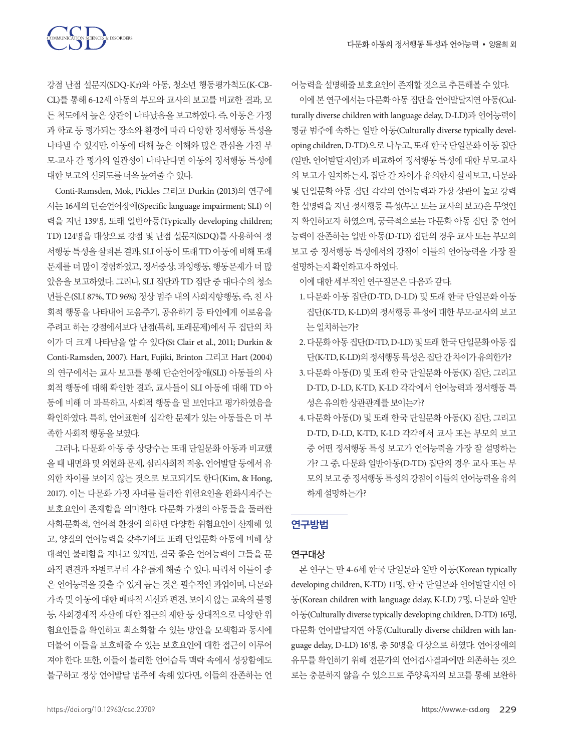강점 난점 설문지(SDQ-Kr)와 아동, 청소년 행동평가척도(K-CB-CL)를 통해 6-12세 아동의 부모와 교사의 보고를 비교한 결과, 모 든 척도에서 높은 상관이 나타났음을 보고하였다. 즉, 아동은 가정 과 학교 등 평가되는 장소와 환경에 따라 다양한 정서행동 특성을 나타낼 수 있지만, 아동에 대해 높은 이해와 많은 관심을 가진 부 모-교사 간 평가의 일관성이 나타난다면 아동의 정서행동 특성에 대한보고의신뢰도를더욱높여줄수있다.

**TION SCIENCES & DISORDERS** 

Conti-Ramsden, Mok, Pickles 그리고 Durkin (2013)의 연구에 서는 16세의 단순언어장애(Specific language impairment; SLI) 이 력을 지닌 139명, 또래 일반아동(Typically developing children; TD) 124명을 대상으로 강점 및 난점 설문지(SDQ)를 사용하여 정 서행동 특성을 살펴본 결과, SLI 아동이 또래 TD 아동에 비해 또래 문제를 더 많이 경험하였고, 정서증상, 과잉행동, 행동문제가 더 많 았음을 보고하였다. 그러나, SLI 집단과 TD 집단 중 대다수의 청소 년들은(SLI 87%, TD 96%) 정상 범주 내의 사회지향행동, 즉, 친 사 회적 행동을 나타내어 도움주기, 공유하기 등 타인에게 이로움을 주려고 하는 강점에서보다 난점(특히, 또래문제)에서 두 집단의 차 이가 더 크게 나타남을 알 수 있다(St Clair et al., 2011; Durkin & Conti-Ramsden, 2007). Hart, Fujiki, Brinton 그리고 Hart (2004) 의 연구에서는 교사 보고를 통해 단순언어장애(SLI) 아동들의 사 회적 행동에 대해 확인한 결과, 교사들이 SLI 아동에 대해 TD 아 동에 비해 더 과묵하고, 사회적 행동을 덜 보인다고 평가하였음을 확인하였다. 특히, 언어표현에 심각한 문제가 있는 아동들은 더 부 족한사회적행동을보였다.

그러나, 다문화 아동 중 상당수는 또래 단일문화 아동과 비교했 을 때 내면화 및 외현화 문제, 심리사회적 적응, 언어발달 등에서 유 의한 차이를 보이지 않는 것으로 보고되기도 한다(Kim, & Hong, 2017). 이는 다문화 가정 자녀를 둘러싼 위험요인을 완화시켜주는 보호요인이 존재함을 의미한다. 다문화 가정의 아동들을 둘러싼 사회·문화적, 언어적 환경에 의하면 다양한 위험요인이 산재해 있 고, 양질의 언어능력을 갖추기에도 또래 단일문화 아동에 비해 상 대적인 불리함을 지니고 있지만, 결국 좋은 언어능력이 그들을 문 화적 편견과 차별로부터 자유롭게 해줄 수 있다. 따라서 이들이 좋 은 언어능력을 갖출 수 있게 돕는 것은 필수적인 과업이며, 다문화 가족 및 아동에 대한 배타적 시선과 편견, 보이지 않는 교육의 불평 등, 사회경제적 자산에 대한 접근의 제한 등 상대적으로 다양한 위 험요인들을 확인하고 최소화할 수 있는 방안을 모색함과 동시에 더불어 이들을 보호해줄 수 있는 보호요인에 대한 접근이 이루어 져야 한다. 또한, 이들이 불리한 언어습득 맥락 속에서 성장함에도 불구하고 정상 언어발달 범주에 속해 있다면, 이들의 잔존하는 언 어능력을설명해줄보호요인이존재할것으로추론해볼수있다.

이에 본 연구에서는 다무화 아동 집다을 언어발달지여 아동(Culturally diverse children with language delay, D-LD)과 언어능력이 평균 범주에 속하는 일반 아동(Culturally diverse typically developing children, D-TD)으로 나누고, 또래 한국 단일문화 아동 집단 (일반, 언어발달지연)과 비교하여 정서행동 특성에 대한 부모-교사 의 보고가 일치하는지, 집단 간 차이가 유의한지 살펴보고, 다문화 및 단일문화 아동 집단 각각의 언어능력과 가장 상관이 높고 강력 한 설명력을 지닌 정서행동 특성(부모 또는 교사의 보고)은 무엇인 지 확인하고자 하였으며, 궁극적으로는 다문화 아동 집단 중 언어 능력이 잔존하는 일반 아동(D-TD) 집단의 경우 교사 또는 부모의 보고 중 정서행동 특성에서의 강점이 이들의 언어능력을 가장 잘 설명하는지확인하고자하였다.

이에 대한 세부적인 연구질문은 다음과 같다.

- 1. 다문화 아동 집단(D-TD, D-LD) 및 또래 한국 단일문화 아동 집단(K-TD, K-LD)의 정서행동 특성에 대한 부모-교사의 보고 는일치하는가?
- 2. 다문화아동집단(D-TD, D-LD) 및또래한국단일문화아동집 단(K-TD, K-LD)의 정서행동 특성은 집단 간 차이가 유의한가?
- 3. 다문화 아동(D) 및 또래 한국 단일문화 아동(K) 집단, 그리고 D-TD, D-LD, K-TD, K-LD 각각에서 언어능력과 정서행동 특 성은유의한상관관계를보이는가?
- 4. 다문화 아동(D) 및 또래 한국 단일문화 아동(K) 집단, 그리고 D-TD, D-LD, K-TD, K-LD 각각에서 교사 또는 부모의 보고 중 어떤 정서행동 특성 보고가 언어능력을 가장 잘 설명하는 가? 그 중, 다문화 일반아동(D-TD) 집단의 경우 교사 또는 부 모의 보고 중 정서행동 특성의 강점이 이들의 언어능력을 유의 하게설명하는가?

# 연구방법

### 연구대상

본 연구는 만 4-6세 한국 단일문화 일반 아동(Korean typically developing children, K-TD) 11명, 한국 단일문화 언어발달지연 아 동(Korean children with language delay, K-LD) 7명, 다문화 일반 아동(Culturally diverse typically developing children, D-TD) 16명, 다문화 언어발달지연 아동(Culturally diverse children with language delay, D-LD) 16명, 총 50명을 대상으로 하였다. 언어장애의 유무를 확인하기 위해 전문가의 언어검사결과에만 의존하는 것으 로는 충분하지 않을 수 있으므로 주양육자의 보고를 통해 보완하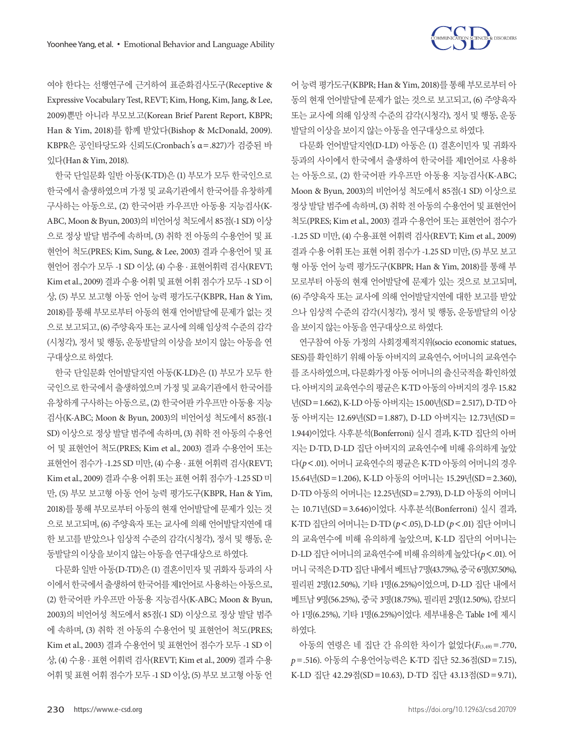

여야 한다는 선행연구에 근거하여 표준화검사도구(Receptive & Expressive Vocabulary Test, REVT; Kim, Hong, Kim, Jang, & Lee, 2009)뿐만 아니라 부모보고(Korean Brief Parent Report, KBPR; Han & Yim, 2018)를 함께 받았다(Bishop & McDonald, 2009). KBPR은 공인타당도와 신뢰도(Cronbach's α=.827)가 검증된 바 있다(Han & Yim, 2018).

한국 단일문화 일반 아동(K-TD)은 (1) 부모가 모두 한국인으로 한국에서 출생하였으며 가정 및 교육기관에서 한국어를 유창하게 구사하는 아동으로, (2) 한국어판 카우프만 아동용 지능검사(K-ABC, Moon & Byun, 2003)의 비언어성 척도에서 85점(-1 SD) 이상 으로 정상 발달 범주에 속하며, (3) 취학 전 아동의 수용언어 및 표 현언어 척도(PRES; Kim, Sung, & Lee, 2003) 결과 수용언어 및 표 현언어 점수가 모두 -1 SD 이상, (4) 수용 · 표현어휘력 검사(REVT; Kim et al., 2009) 결과 수용 어휘 및 표현 어휘 점수가 모두 -1 SD 이 상, (5) 부모 보고형 아동 언어 능력 평가도구(KBPR, Han & Yim, 2018)를 통해 부모로부터 아동의 현재 언어발달에 문제가 없는 것 으로 보고되고, (6) 주양육자 또는 교사에 의해 임상적 수준의 감각 (시청각), 정서 및 행동, 운동발달의 이상을 보이지 않는 아동을 연 구대상으로하였다.

한국 단일문화 언어발달지연 아동(K-LD)은 (1) 부모가 모두 한 국인으로 한국에서 출생하였으며 가정 및 교육기관에서 한국어를 유창하게 구사하는 아동으로, (2) 한국어판 카우프만 아동용 지능 검사(K-ABC; Moon & Byun, 2003)의 비언어성 척도에서 85점(-1 SD) 이상으로 정상 발달 범주에 속하며, (3) 취학 전 아동의 수용언 어 및 표현언어 척도(PRES; Kim et al., 2003) 결과 수용언어 또는 표현언어 점수가 -1.25 SD 미만, (4) 수용 · 표현 어휘력 검사(REVT; Kim et al., 2009) 결과 수용 어휘 또는 표현 어휘 점수가 -1.25 SD 미 만, (5) 부모 보고형 아동 언어 능력 평가도구(KBPR, Han & Yim, 2018)를 통해 부모로부터 아동의 현재 언어발달에 문제가 있는 것 으로 보고되며, (6) 주양육자 또는 교사에 의해 언어발달지연에 대 한 보고를 받았으나 임상적 수준의 감각(시청각), 정서 및 행동, 운 동발달의이상을보이지않는아동을연구대상으로하였다.

다문화 일반 아동(D-TD)은 (1) 결혼이민자 및 귀화자 등과의 사 이에서한국에서출생하여한국어를제1언어로사용하는아동으로, (2) 한국어판 카우프만 아동용 지능검사(K-ABC; Moon & Byun, 2003)의 비언어성 척도에서 85점(-1 SD) 이상으로 정상 발달 범주 에 속하며, (3) 취학 전 아동의 수용언어 및 표현언어 척도(PRES; Kim et al., 2003) 결과 수용언어 및 표현언어 점수가 모두 -1 SD 이 상, (4) 수용 · 표현 어휘력 검사(REVT; Kim et al., 2009) 결과 수용 어휘 및 표현 어휘 점수가 모두 -1 SD 이상, (5) 부모 보고형 아동 언

어 능력 평가도구(KBPR; Han & Yim, 2018)를 통해 부모로부터 아 동의 현재 언어발달에 문제가 없는 것으로 보고되고, (6) 주양육자 또는 교사에 의해 임상적 수준의 감각(시청각), 정서 및 행동, 운동 발달의이상을보이지않는아동을연구대상으로하였다.

다문화 언어발달지연(D-LD) 아동은 (1) 결혼이민자 및 귀화자 등과의 사이에서 한국에서 출생하여 한국어를 제1언어로 사용하 는 아동으로, (2) 한국어판 카우프만 아동용 지능검사(K-ABC; Moon & Byun, 2003)의 비언어성 척도에서 85점(-1 SD) 이상으로 정상 발달 범주에 속하며, (3) 취학 전 아동의 수용언어 및 표현언어 척도(PRES; Kim et al., 2003) 결과 수용언어 또는 표현언어 점수가 -1.25 SD 미만, (4) 수용·표현 어휘력 검사(REVT; Kim et al., 2009) 결과 수용 어휘 또는 표현 어휘 점수가 -1.25 SD 미만, (5) 부모 보고 형 아동 언어 능력 평가도구(KBPR; Han & Yim, 2018)를 통해 부 모로부터 아동의 현재 언어발달에 문제가 있는 것으로 보고되며, (6) 주양육자 또는 교사에 의해 언어발달지연에 대한 보고를 받았 으나 임상적 수준의 감각(시청각), 정서 및 행동, 운동발달의 이상 을보이지않는아동을연구대상으로하였다.

연구참여 아동 가정의 사회경제적지위(socio economic statues, SES)를 확인하기 위해 아동 아버지의 교육연수, 어머니의 교육연수 를 조사하였으며, 다문화가정 아동 어머니의 출신국적을 확인하였 다. 아버지의 교육연수의 평균은 K-TD 아동의 아버지의 경우 15.82 년(SD=1.662), K-LD 아동 아버지는 15.00년(SD=2.517), D-TD 아 동 아버지는 12.69년(SD=1.887), D-LD 아버지는 12.73년(SD= 1.944)이었다. 사후분석(Bonferroni) 실시 결과, K-TD 집단의 아버 지는 D-TD, D-LD 집단 아버지의 교육연수에 비해 유의하게 높았 다(*p*<.01). 어머니 교육연수의 평균은 K-TD 아동의 어머니의 경우 15.64년(SD=1.206), K-LD 아동의 어머니는 15.29년(SD=2.360), D-TD 아동의 어머니는 12.25년(SD=2.793), D-LD 아동의 어머니 는 10.71년(SD =3.646)이었다. 사후분석(Bonferroni) 실시 결과, K-TD 집단의 어머니는 D-TD (*p*<.05), D-LD (*p*<.01) 집단 어머니 의 교육연수에 비해 유의하게 높았으며, K-LD 집단의 어머니는 D-LD 집단 어머니의 교육연수에 비해 유의하게 높았다(*p*<.01). 어 머니 국적은 D-TD 집단 내에서 베트남 7명(43.75%), 중국 6명(37.50%), 필리핀 2명(12.50%), 기타 1명(6.25%)이었으며, D-LD 집단 내에서 베트남 9명(56.25%), 중국 3명(18.75%), 필리핀 2명(12.50%), 캄보디 아 1명(6.25%), 기타 1명(6.25%)이었다. 세부내용은 Table 1에 제시 하였다.

아동의 연령은 네 집단 간 유의한 차이가 없었다(*F*(3,49) =.770, *p*=.516). 아동의 수용언어능력은 K-TD 집단 52.36점(SD=7.15), K-LD 집단 42.29점(SD =10.63), D-TD 집단 43.13점(SD =9.71),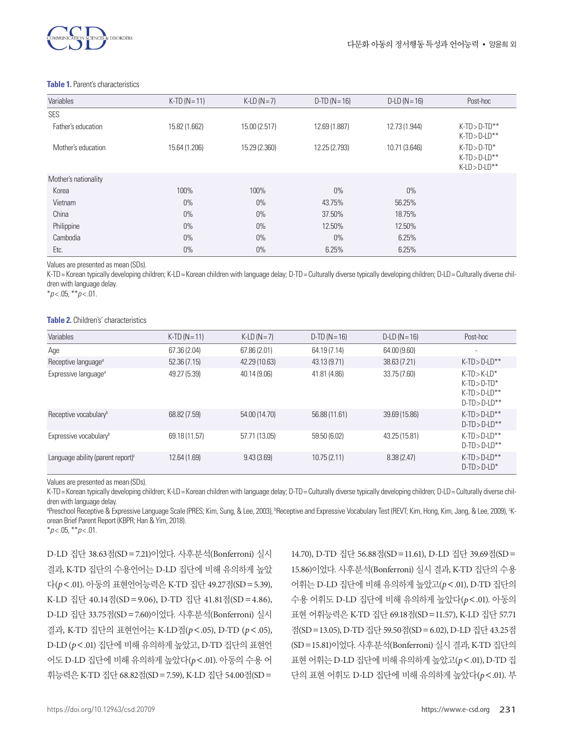

#### **Table 1.** Parent's characteristics

| Variables            | $K-TD (N = 11)$ | $K-LD(N=7)$   | $D-TD (N = 16)$ | $D$ -LD ( $N = 16$ ) | Post-hoc         |
|----------------------|-----------------|---------------|-----------------|----------------------|------------------|
| <b>SES</b>           |                 |               |                 |                      |                  |
| Father's education   | 15.82 (1.662)   | 15.00 (2.517) | 12.69 (1.887)   | 12.73 (1.944)        | $K-TD > D-TD**$  |
|                      |                 |               |                 |                      | $K-TD > D-LD**$  |
| Mother's education   | 15.64 (1.206)   | 15.29 (2.360) | 12.25 (2.793)   | 10.71 (3.646)        | $K-TD > D-TD^*$  |
|                      |                 |               |                 |                      | $K-TD > D-LD**$  |
|                      |                 |               |                 |                      | $K$ -LD > D-LD** |
| Mother's nationality |                 |               |                 |                      |                  |
| Korea                | 100%            | 100%          | $0\%$           | $0\%$                |                  |
| Vietnam              | $0\%$           | $0\%$         | 43.75%          | 56.25%               |                  |
| China                | $0\%$           | $0\%$         | 37.50%          | 18.75%               |                  |
| Philippine           | $0\%$           | $0\%$         | 12.50%          | 12.50%               |                  |
| Cambodia             | $0\%$           | $0\%$         | $0\%$           | 6.25%                |                  |
| Etc.                 | $0\%$           | $0\%$         | 6.25%           | 6.25%                |                  |

Values are presented as mean (SDs).

K-TD= Korean typically developing children; K-LD= Korean children with language delay; D-TD= Culturally diverse typically developing children; D-LD= Culturally diverse children with language delay.

\**p* < .05, \*\**p* < .01.

### **Table 2.** Children's' characteristics

| Variables                                   | $K-TD (N = 11)$ | $K-LD(N=7)$   | $D-TD (N = 16)$ | $D$ -LD ( $N = 16$ ) | Post-hoc                                                              |
|---------------------------------------------|-----------------|---------------|-----------------|----------------------|-----------------------------------------------------------------------|
| Age                                         | 67.36 (2.04)    | 67.86 (2.01)  | 64.19 (7.14)    | 64.00 (9.60)         | ٠                                                                     |
| Receptive language <sup>a</sup>             | 52.36(7.15)     | 42.29 (10.63) | 43.13 (9.71)    | 38.63 (7.21)         | $K-TD > D-LD**$                                                       |
| Expressive language <sup>a</sup>            | 49.27 (5.39)    | 40.14 (9.06)  | 41.81 (4.86)    | 33.75 (7.60)         | $K-TD>K-LD*$<br>$K-TD > D-TD^*$<br>$K-TD > D-LD**$<br>$D-TD > D-LD**$ |
| Receptive vocabulary <sup>b</sup>           | 68.82 (7.59)    | 54.00 (14.70) | 56.88 (11.61)   | 39.69 (15.86)        | $K-TD > D-I D**$<br>$D-TD > D-LD**$                                   |
| Expressive vocabulary <sup>b</sup>          | 69.18 (11.57)   | 57.71 (13.05) | 59.50 (6.02)    | 43.25 (15.81)        | $K-TD > D-I D**$<br>$D-TD > D-LD**$                                   |
| Language ability (parent report) $\epsilon$ | 12.64 (1.69)    | 9.43(3.69)    | 10.75(2.11)     | 8.38(2.47)           | $K-TD > D-LD**$<br>$D-TD > D-LD^*$                                    |

Values are presented as mean (SDs).

K-TD= Korean typically developing children; K-LD= Korean children with language delay; D-TD= Culturally diverse typically developing children; D-LD= Culturally diverse children with language delay.

<sup>a</sup>Preschool Receptive & Expressive Language Scale (PRES; Kim, Sung, & Lee, 2003), <sup>b</sup>Receptive and Expressive Vocabulary Test (REVT; Kim, Hong, Kim, Jang, & Lee, 2009), °Korean Brief Parent Report (KBPR; Han & Yim, 2018).

\**p* < .05, \*\**p* < .01.

D-LD 집단 38.63점(SD=7.21)이었다. 사후분석(Bonferroni) 실시 결과, K-TD 집단의 수용언어는 D-LD 집단에 비해 유의하게 높았 다(*p*<.01). 아동의 표현언어능력은 K-TD 집단 49.27점(SD=5.39), K-LD 집단 40.14점(SD =9.06), D-TD 집단 41.81점(SD =4.86), D-LD 집단 33.75점(SD=7.60)이었다. 사후분석(Bonferroni) 실시 결과, K-TD 집단의 표현언어는 K-LD점(*p*<.05), D-TD (*p*<.05), D-LD (*p*<.01) 집단에 비해 유의하게 높았고, D-TD 집단의 표현언 어도 D-LD 집단에 비해 유의하게 높았다(*p*<.01). 아동의 수용 어 휘능력은 K-TD 집단 68.82점(SD=7.59), K-LD 집단 54.00점(SD=

14.70), D-TD 집단 56.88점(SD=11.61), D-LD 집단 39.69점(SD= 15.86)이었다. 사후분석(Bonferroni) 실시 결과, K-TD 집단의 수용 어휘는 D-LD 집단에 비해 유의하게 높았고(*p*<.01), D-TD 집단의 수용 어휘도 D-LD 집단에 비해 유의하게 높았다(*p*<.01). 아동의 표현 어휘능력은 K-TD 집단 69.18점(SD=11.57), K-LD 집단 57.71 점(SD=13.05), D-TD 집단 59.50점(SD=6.02), D-LD 집단 43.25점 (SD=15.81)이었다. 사후분석(Bonferroni) 실시 결과, K-TD 집단의 표현 어휘는 D-LD 집단에 비해 유의하게 높았고(*p*<.01), D-TD 집 단의 표현 어휘도 D-LD 집단에 비해 유의하게 높았다(*p*<.01). 부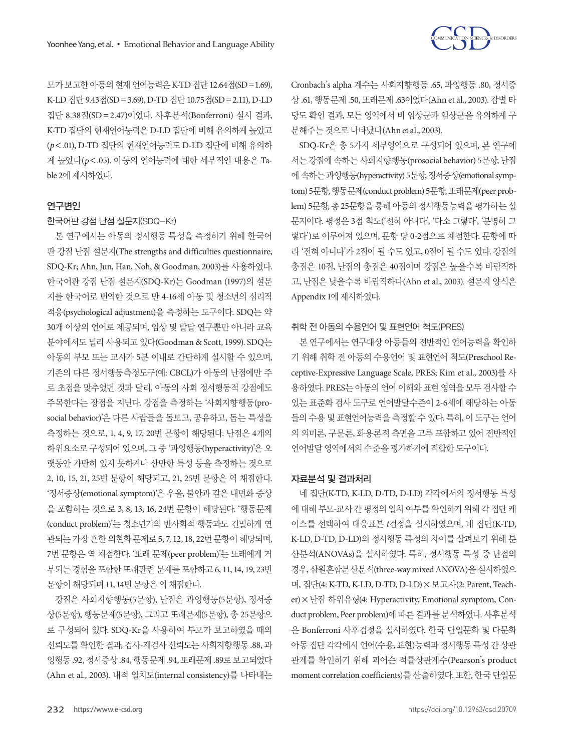

모가 보고한 아동의 현재 언어능력은 K-TD 집단 12.64점(SD=1.69), K-LD 집단 9.43점(SD=3.69), D-TD 집단 10.75점(SD=2.11), D-LD 집단 8.38점(SD=2.47)이었다. 사후분석(Bonferroni) 실시 결과, K-TD 집단의 현재언어능력은 D-LD 집단에 비해 유의하게 높았고 (*p*<.01), D-TD 집단의 현재언어능력도 D-LD 집단에 비해 유의하 게 높았다(*p*<.05). 아동의 언어능력에 대한 세부적인 내용은 Table 2에 제시하였다.

### 연구변인

한국어판 강점 난점 설문지(SDQ-Kr)

본 연구에서는 아동의 정서행동 특성을 측정하기 위해 한국어 판 강점 난점 설문지(The strengths and difficulties questionnaire, SDQ-Kr; Ahn, Jun, Han, Noh, & Goodman, 2003)를 사용하였다. 한국어판 강점 난점 설문지(SDQ-Kr)는 Goodman (1997)의 설문 지를 한국어로 번역한 것으로 만 4-16세 아동 및 청소년의 심리적 적응(psychological adjustment)을 측정하는 도구이다. SDQ는 약 30개 이상의 언어로 제공되며, 임상 및 발달 연구뿐만 아니라 교육 분야에서도 널리 사용되고 있다(Goodman & Scott, 1999). SDQ는 아동의 부모 또는 교사가 5분 이내로 간단하게 실시할 수 있으며, 기존의 다른 정서행동측정도구(예: CBCL)가 아동의 난점에만 주 로 초점을 맞추었던 것과 달리, 아동의 사회 정서행동적 강점에도 주목한다는 장점을 지닌다. 강점을 측정하는 '사회지향행동(prosocial behavior)'은 다른 사람들을 돌보고, 공유하고, 돕는 특성을 측정하는 것으로, 1, 4, 9, 17, 20번 문항이 해당된다. 난점은 4개의 하위요소로 구성되어 있으며, 그 중 '과잉행동(hyperactivity)'은 오 랫동안 가만히 있지 못하거나 산만한 특성 등을 측정하는 것으로 2, 10, 15, 21, 25번 문항이 해당되고, 21, 25번 문항은 역 채점한다. '정서증상(emotional symptom)'은 우울, 불안과 같은 내면화 증상 을 포함하는 것으로 3, 8, 13, 16, 24번 문항이 해당된다. '행동문제 (conduct problem)'는 청소년기의 반사회적 행동과도 긴밀하게 연 관되는 가장 흔한 외현화 문제로 5, 7, 12, 18, 22번 문항이 해당되며, 7번 문항은 역 채점한다. '또래 문제(peer problem)'는 또래에게 거 부되는 경험을 포함한 또래관련 문제를 포함하고 6, 11, 14, 19, 23번 문항이해당되며 11, 14번문항은역채점한다.

강점은 사회지향행동(5문항), 난점은 과잉행동(5문항), 정서증 상(5문항), 행동문제(5문항), 그리고 또래문제(5문항), 총 25문항으 로 구성되어 있다. SDQ-Kr을 사용하여 부모가 보고하였을 때의 신뢰도를 확인한 결과, 검사-재검사 신뢰도는 사회지향행동 .88, 과 잉행동 .92, 정서증상 .84, 행동문제 .94, 또래문제 .89로 보고되었다 (Ahn et al., 2003). 내적 일치도(internal consistency)를 나타내는

Cronbach's alpha 계수는 사회지향행동 .65, 과잉행동 .80, 정서증 상 .61, 행동문제 .50, 또래문제 .63이었다(Ahn et al., 2003). 감별 타 당도 확인 결과, 모든 영역에서 비 임상군과 임상군을 유의하게 구 분해주는것으로나타났다(Ahn et al., 2003).

SDQ-Kr은 총 5가지 세부영역으로 구성되어 있으며, 본 연구에 서는 강점에 속하는 사회지향행동(prosocial behavior) 5문항, 난점 에 속하는과잉행동(hyperactivity) 5문항, 정서증상(emotional symptom) 5문항, 행동문제(conduct problem) 5문항, 또래문제(peer problem) 5문항, 총 25문항을 통해 아동의 정서행동능력을 평가하는 설 문지이다. 평정은 3점 척도('전혀 아니다', '다소 그렇다', '분명히 그 렇다')로 이루어져 있으며, 문항 당 0-2점으로 채점한다. 문항에 따 라 '전혀 아니다'가 2점이 될 수도 있고, 0점이 될 수도 있다. 강점의 총점은 10점, 난점의 총점은 40점이며 강점은 높을수록 바람직하 고, 난점은 낮을수록 바람직하다(Ahn et al., 2003). 설문지 양식은 Appendix 1에 제시하였다.

### 취학 전 아동의 수용언어 및 표현언어 척도(PRES)

본 연구에서는 연구대상 아동들의 전반적인 언어능력을 확인하 기 위해 취학 전 아동의 수용언어 및 표현언어 척도(Preschool Receptive-Expressive Language Scale, PRES; Kim et al., 2003)를 사 용하였다. PRES는 아동의 언어 이해와 표현 영역을 모두 검사할 수 있는 표준화 검사 도구로 언어발달수준이 2-6세에 해당하는 아동 들의 수용 및 표현언어능력을 측정할 수 있다. 특히, 이 도구는 언어 의 의미론, 구문론, 화용론적 측면을 고루 포함하고 있어 전반적인 언어발달 영역에서의 수준을 평가하기에 적합한 도구이다.

### 자료분석 및 결과처리

네 집단(K-TD, K-LD, D-TD, D-LD) 각각에서의 정서행동 특성 에 대해 부모-교사 간 평정의 일치 여부를 확인하기 위해 각 집단 케 이스를 선택하여 대응표본 *t*검정을 실시하였으며, 네 집단(K-TD, K-LD, D-TD, D-LD)의 정서행동 특성의 차이를 살펴보기 위해 분 산분석(ANOVAs)을 실시하였다. 특히, 정서행동 특성 중 난점의 경우, 삼원혼합분산분석(three-way mixed ANOVA)을실시하였으 며, 집단(4: K-TD, K-LD, D-TD, D-LD)×보고자(2: Parent, Teacher)×난점 하위유형(4: Hyperactivity, Emotional symptom, Conduct problem, Peer problem)에따른결과를분석하였다. 사후분석 은 Bonferroni 사후검정을 실시하였다. 한국 단일문화 및 다문화 아동 집단 각각에서 언어(수용, 표현)능력과 정서행동 특성 간 상관 관계를 확인하기 위해 피어슨 적률상관계수(Pearson's product moment correlation coefficients)를 산출하였다. 또한, 한국 단일문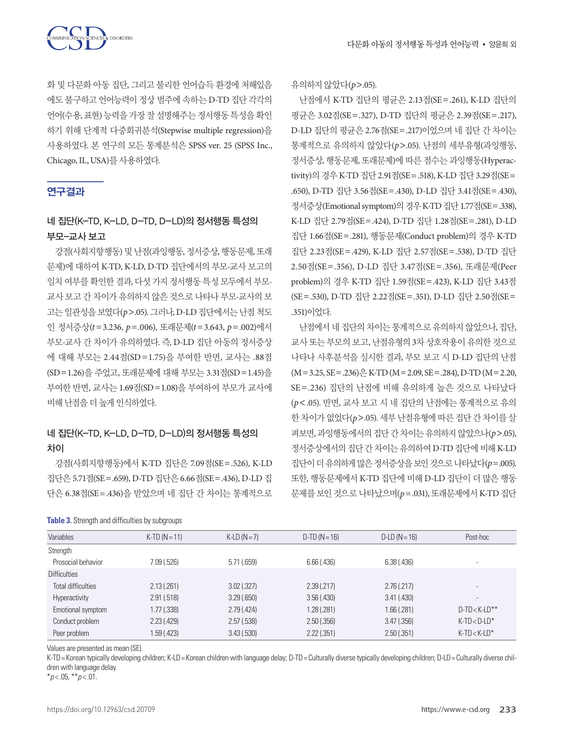화 및 다문화 아동 집단, 그리고 불리한 언어습득 환경에 처해있음 에도 불구하고 언어능력이 정상 범주에 속하는 D-TD 집단 각각의 언어(수용, 표현) 능력을 가장 잘 설명해주는 정서행동 특성을 확인 하기 위해 단계적 다중회귀분석(Stepwise multiple regression)을 사용하였다. 본 연구의 모든 통계분석은 SPSS ver. 25 (SPSS Inc., Chicago, IL, USA)를사용하였다.

# 연구결과

# 네 집단(K-TD, K-LD, D-TD, D-LD)의 정서행동 특성의 부모-교사 보고

강점(사회지향행동) 및 난점(과잉행동, 정서증상, 행동문제, 또래 문제)에 대하여 K-TD, K-LD, D-TD 집단에서의 부모-교사 보고의 일치 여부를 확인한 결과, 다섯 가지 정서행동 특성 모두에서 부모-교사 보고 간 차이가 유의하지 않은 것으로 나타나 부모-교사의 보 고는 일관성을 보였다(p>.05). 그러나, D-LD 집단에서는 난점 척도 인 정서증상(*t* =3.236, *p*=.006), 또래문제(*t* =3.643, *p*=.002)에서 부모-교사 간 차이가 유의하였다. 즉, D-LD 집단 아동의 정서증상 에 대해 부모는 2.44점(SD =1.75)을 부여한 반면, 교사는 .88점 (SD=1.26)을 주었고, 또래문제에 대해 부모는 3.31점(SD=1.45)을 부여한 반면, 교사는 1.69점(SD=1.08)을 부여하여 부모가 교사에 비해난점을더높게인식하였다.

# 네 집단(K-TD, K-LD, D-TD, D-LD)의 정서행동 특성의 차이

강점(사회지향행동)에서 K-TD 집단은 7.09점(SE=.526), K-LD 집단은 5.71점(SE=.659), D-TD 집단은 6.66점(SE=.436), D-LD 집 단은 6.38점(SE=.436)을 받았으며 네 집단 간 차이는 통계적으로

### **Table 3.** Strength and difficulties by subgroups

유의하지않았다(*p*>.05).

난점에서 K-TD 집단의 평균은 2.13점(SE=.261), K-LD 집단의 평균은 3.02점(SE = .327), D-TD 집단의 평균은 2.39점(SE = .217), D-LD 집단의 평균은 2.76점(SE=.217)이었으며 네 집단 간 차이는 통계적으로 유의하지 않았다(*p*>.05). 난점의 세부유형(과잉행동, 정서증상, 행동문제, 또래문제)에 따른 점수는 과잉행동(Hyperactivity)의 경우 K-TD 집단 2.91점(SE=.518), K-LD 집단 3.29점(SE= .650), D-TD 집단 3.56점(SE=.430), D-LD 집단 3.41점(SE=.430), 정서증상(Emotional symptom)의경우 K-TD 집단 1.77점(SE=.338), K-LD 집단 2.79점(SE=.424), D-TD 집단 1.28점(SE=.281), D-LD 집단 1.66점(SE=.281), 행동문제(Conduct problem)의 경우 K-TD 집단 2.23점(SE=.429), K-LD 집단 2.57점(SE=.538), D-TD 집단 2.50점(SE=.356), D-LD 집단 3.47점(SE=.356), 또래문제(Peer problem)의 경우 K-TD 집단 1.59점(SE=.423), K-LD 집단 3.43점 (SE=.530), D-TD 집단 2.22점(SE=.351), D-LD 집단 2.50점(SE= .351)이었다.

난점에서 네 집단의 차이는 통계적으로 유의하지 않았으나, 집단, 교사 또는 부모의 보고, 난점유형의 3차 상호작용이 유의한 것으로 나타나 사후분석을 실시한 결과, 부모 보고 시 D-LD 집단의 난점  $(M=3.25, SE=.236)$  $\frac{O}{11}$  K-TD  $(M=2.09, SE=.284)$ , D-TD  $(M=2.20,$ SE=.236) 집단의 난점에 비해 유의하게 높은 것으로 나타났다 (*p*<.05). 반면, 교사 보고 시 네 집단의 난점에는 통계적으로 유의 한 차이가 없었다(*p*>.05). 세부 난점유형에 따른 집단 간 차이를 살 펴보면, 과잉행동에서의집단간차이는유의하지않았으나(*p*>.05), 정서증상에서의집단간차이는유의하여 D-TD 집단에비해 K-LD 집단이더유의하게많은정서증상을보인것으로나타났다(*p*=.005). 또한, 행동문제에서 K-TD 집단에 비해 D-LD 집단이 더 많은 행동 문제를 보인 것으로 나타났으며(*p*=.031), 또래문제에서 K-TD 집단

| Variables                 | $K-TD (N = 11)$ | $KLD (N=7)$   | $D-TD (N = 16)$ | $D$ -LD ( $N = 16$ ) | Post-hoc                 |
|---------------------------|-----------------|---------------|-----------------|----------------------|--------------------------|
| Strength                  |                 |               |                 |                      |                          |
| Prosocial behavior        | 7.09(.526)      | 5.71(.659)    | 6.66(.436)      | 6.38(0.436)          | $\overline{\phantom{a}}$ |
| <b>Difficulties</b>       |                 |               |                 |                      |                          |
| <b>Total difficulties</b> | 2.13(.261)      | $3.02$ (.327) | 2.39(.217)      | 2.76(.217)           | $\overline{\phantom{a}}$ |
| <b>Hyperactivity</b>      | 2.91(.518)      | 3.29(.650)    | 3.56(.430)      | 3.41(.430)           | $\overline{\phantom{a}}$ |
| Emotional symptom         | 1.77 (.338)     | 2.79(.424)    | 1.28 (.281)     | 1.66(.281)           | $D-TD < K-LD**$          |
| Conduct problem           | 2.23(.429)      | 2.57(.538)    | 2.50(.356)      | 3.47(.356)           | $K-TD < D-LD^*$          |
| Peer problem              | 1.59 (.423)     | 3.43(.530)    | 2.22(.351)      | 2.50(.351)           | $K$ -TD $<$ $K$ -LD $*$  |
|                           |                 |               |                 |                      |                          |

Values are presented as mean (SE).

K-TD= Korean typically developing children; K-LD= Korean children with language delay; D-TD= Culturally diverse typically developing children; D-LD= Culturally diverse children with language delay.

\**p* < .05, \*\**p* < .01.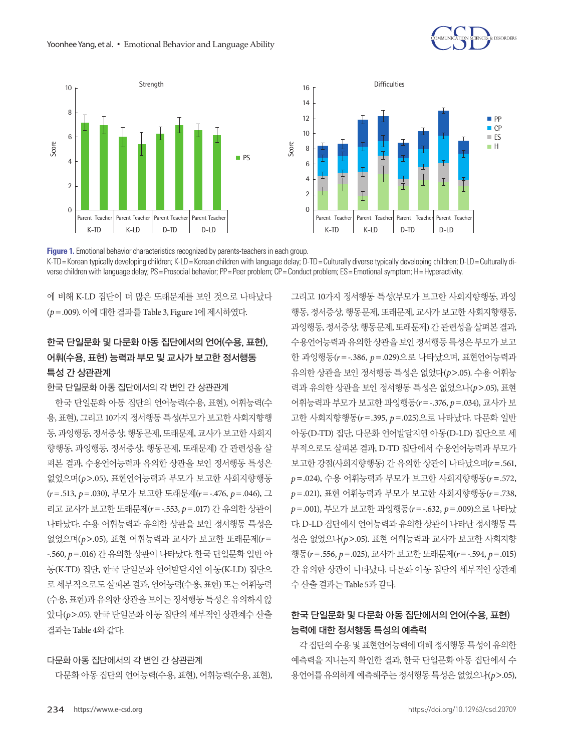



**Figure 1.** Emotional behavior characteristics recognized by parents-teachers in each group. K-TD = Korean typically developing children; K-LD = Korean children with language delay; D-TD = Culturally diverse typically developing children; D-LD = Culturally diverse children with language delay; PS= Prosocial behavior; PP= Peer problem; CP= Conduct problem; ES= Emotional symptom; H= Hyperactivity.

에 비해 K-LD 집단이 더 많은 또래문제를 보인 것으로 나타났다 (*p*=.009). 이에대한결과를 Table 3, Figure 1에제시하였다.

# 한국 단일문화 및 다문화 아동 집단에서의 언어(수용, 표현), 어휘(수용, 표현) 능력과 부모 및 교사가 보고한 정서행동 특성 간 상관관계

한국 단일문화 아동 집단에서의 각 변인 간 상관관계

한국 단일문화 아동 집단의 언어능력(수용, 표현), 어휘능력(수 용, 표현), 그리고 10가지 정서행동 특성(부모가 보고한 사회지향행 동, 과잉행동, 정서증상, 행동문제, 또래문제, 교사가 보고한 사회지 향행동, 과잉행동, 정서증상, 행동문제, 또래문제) 간 관련성을 살 펴본 결과, 수용언어능력과 유의한 상관을 보인 정서행동 특성은 없었으며(*p*>.05), 표현언어능력과 부모가 보고한 사회지향행동 (*r*=.513, *p*=.030), 부모가 보고한 또래문제(*r*=-.476, *p*=.046), 그 리고 교사가 보고한 또래문제(*r*=-.553, *p*=.017) 간 유의한 상관이 나타났다. 수용 어휘능력과 유의한 상관을 보인 정서행동 특성은 없었으며(*p*>.05), 표현 어휘능력과 교사가 보고한 또래문제(*r* = -.560, *p*=.016) 간 유의한 상관이 나타났다. 한국 단일문화 일반 아 동(K-TD) 집단, 한국 단일문화 언어발달지연 아동(K-LD) 집단으 로 세부적으로도 살펴본 결과, 언어능력(수용, 표현) 또는 어휘능력 (수용, 표현)과 유의한 상관을 보이는 정서행동 특성은 유의하지 않 았다(*p*>.05). 한국 단일문화 아동 집단의 세부적인 상관계수 산출 결과는 Table 4와같다.

### 다문화 아동 집단에서의 각 변인 간 상관관계

다문화 아동 집단의 언어능력(수용, 표현), 어휘능력(수용, 표현),

그리고 10가지 정서행동 특성(부모가 보고한 사회지향행동, 과잉 행동, 정서증상, 행동문제, 또래문제, 교사가 보고한 사회지향행동, 과잉행동, 정서증상, 행동문제, 또래문제) 간 관련성을 살펴본 결과, 수용언어능력과 유의한 상관을 보인 정서행동 특성은 부모가 보고 한 과잉행동(*r* =-.386, *p*=.029)으로 나타났으며, 표현언어능력과 유의한 상관을 보인 정서행동 특성은 없었다(*p*>.05). 수용 어휘능 력과 유의한 상관을 보인 정서행동 특성은 없었으나(*p*>.05), 표현 어휘능력과 부모가 보고한 과잉행동(*r*=-.376, *p*=.034), 교사가 보 고한 사회지향행동(*r*=.395, *p*=.025)으로 나타났다. 다문화 일반 아동(D-TD) 집단, 다문화 언어발달지연 아동(D-LD) 집단으로 세 부적으로도 살펴본 결과, D-TD 집단에서 수용언어능력과 부모가 보고한 강점(사회지향행동) 간 유의한 상관이 나타났으며(*r*=.561, *p*=.024), 수용 어휘능력과 부모가 보고한 사회지향행동(*r*=.572, *p*=.021), 표현 어휘능력과 부모가 보고한 사회지향행동(*r* =.738, *p*=.001), 부모가 보고한 과잉행동(*r*=-.632, *p*=.009)으로 나타났 다. D-LD 집단에서 언어능력과 유의한 상관이 나타난 정서행동 특 성은 없었으나(*p*>.05). 표현 어휘능력과 교사가 보고한 사회지향 행동(*r*=.556, *p*=.025), 교사가 보고한 또래문제(*r*=-.594, *p*=.015) 간 유의한 상관이 나타났다. 다문화 아동 집단의 세부적인 상관계 수산출결과는 Table 5과같다.

# 한국 단일문화 및 다문화 아동 집단에서의 언어(수용, 표현) 능력에 대한 정서행동 특성의 예측력

각 집단의 수용 및 표현언어능력에 대해 정서행동 특성이 유의한 예측력을 지니는지 확인한 결과, 한국 단일문화 아동 집단에서 수 용언어를 유의하게 예측해주는 정서행동 특성은 없었으나(*p*>.05),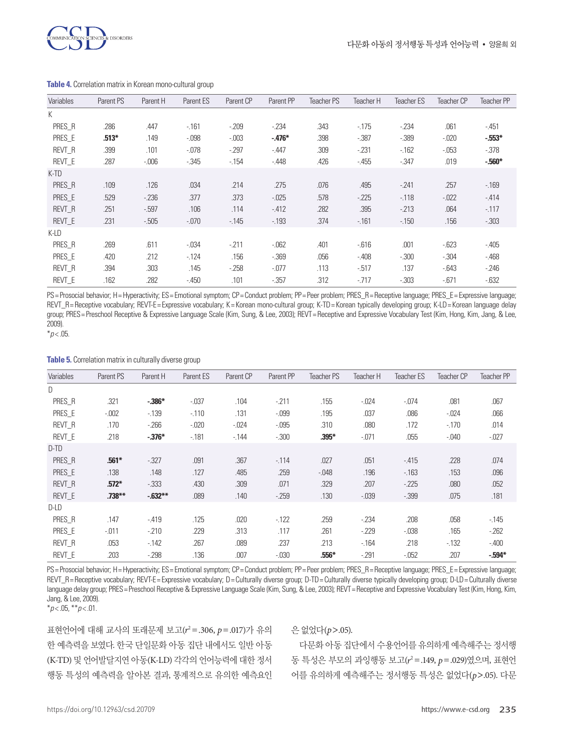

| Variables | Parent PS | Parent H | Parent ES | Parent CP | Parent PP | <b>Teacher PS</b> | Teacher H | <b>Teacher ES</b> | Teacher CP | <b>Teacher PP</b> |
|-----------|-----------|----------|-----------|-----------|-----------|-------------------|-----------|-------------------|------------|-------------------|
| K         |           |          |           |           |           |                   |           |                   |            |                   |
| PRES R    | .286      | .447     | $-161$    | $-209$    | $-234$    | .343              | $-175$    | $-234$            | .061       | $-451$            |
| PRES E    | $.513*$   | .149     | $-0.098$  | $-0.003$  | $-.476*$  | .398              | $-.387$   | $-0.389$          | $-0.020$   | $-553*$           |
| REVT R    | .399      | .101     | $-0.078$  | $-297$    | $-447$    | .309              | $-231$    | $-162$            | $-0.053$   | $-378$            |
| REVT E    | .287      | $-0.006$ | $-0.345$  | $-154$    | $-.448$   | .426              | $-455$    | $-347$            | .019       | $-560*$           |
| K-TD      |           |          |           |           |           |                   |           |                   |            |                   |
| PRES_R    | .109      | .126     | .034      | .214      | .275      | .076              | .495      | $-241$            | .257       | $-169$            |
| PRES E    | .529      | $-236$   | .377      | .373      | $-0.025$  | .578              | $-225$    | $-118$            | $-0.022$   | $-414$            |
| REVT R    | .251      | $-597$   | .106      | .114      | $-412$    | .282              | .395      | $-213$            | .064       | $-117$            |
| REVT E    | .231      | $-505$   | $-0.070$  | $-145$    | $-193$    | .374              | $-161$    | $-150$            | .156       | $-0.303$          |
| K-LD      |           |          |           |           |           |                   |           |                   |            |                   |
| PRES_R    | .269      | .611     | $-034$    | $-211$    | $-062$    | .401              | $-616$    | .001              | $-623$     | $-405$            |
| PRES E    | .420      | .212     | $-124$    | .156      | $-0.369$  | .056              | $-408$    | $-.300$           | $-0.304$   | $-468$            |
| REVT R    | .394      | .303     | .145      | $-258$    | $-0.077$  | .113              | $-517$    | .137              | $-643$     | $-246$            |
| REVT E    | .162      | .282     | $-450$    | .101      | $-0.357$  | .312              | $-717$    | $-0.303$          | $-671$     | $-632$            |

#### **Table 4.** Correlation matrix in Korean mono-cultural group

PS= Prosocial behavior; H= Hyperactivity; ES= Emotional symptom; CP= Conduct problem; PP= Peer problem; PRES\_R= Receptive language; PRES\_E= Expressive language; REVT\_R= Receptive vocabulary; REVT-E= Expressive vocabulary; K= Korean mono-cultural group; K-TD= Korean typically developing group; K-LD= Korean language delay group; PRES=Preschool Receptive & Expressive Language Scale (Kim, Sung, & Lee, 2003); REVT=Receptive and Expressive Vocabulary Test (Kim, Hong, Kim, Jang, & Lee, 2009).

 $*p$  < .05.

#### **Table 5.** Correlation matrix in culturally diverse group

| Variables     | Parent PS | Parent H | Parent ES | Parent CP | Parent PP | Teacher PS | Teacher H | Teacher ES | Teacher CP | Teacher PP |
|---------------|-----------|----------|-----------|-----------|-----------|------------|-----------|------------|------------|------------|
| D             |           |          |           |           |           |            |           |            |            |            |
| PRES_R        | .321      | $-386*$  | $-0.037$  | .104      | $-211$    | .155       | $-0.024$  | $-.074$    | .081       | .067       |
| PRES E        | $-0.002$  | $-139$   | $-110$    | .131      | $-0.099$  | .195       | .037      | .086       | $-0.024$   | .066       |
| REVT R        | .170      | $-266$   | $-0.020$  | $-0.024$  | $-0.095$  | .310       | .080      | .172       | $-170$     | .014       |
| REVT E        | .218      | $-376*$  | $-181$    | $-144$    | $-0.300$  | $.395*$    | $-.071$   | .055       | $-0.040$   | $-027$     |
| D-TD          |           |          |           |           |           |            |           |            |            |            |
| PRES R        | $.561*$   | $-327$   | .091      | .367      | $-114$    | .027       | .051      | $-415$     | .228       | .074       |
| PRES E        | .138      | .148     | .127      | .485      | .259      | $-0.048$   | .196      | $-163$     | .153       | .096       |
| <b>REVT R</b> | $.572*$   | $-0.333$ | .430      | .309      | .071      | .329       | .207      | $-225$     | .080       | .052       |
| REVT E        | $.738***$ | $-632**$ | .089      | .140      | $-259$    | .130       | $-0.039$  | $-0.399$   | .075       | .181       |
| $D$ -L $D$    |           |          |           |           |           |            |           |            |            |            |
| PRES R        | .147      | $-.419$  | .125      | .020      | $-122$    | .259       | $-234$    | .208       | .058       | $-145$     |
| PRES_E        | $-.011$   | $-210$   | .229      | .313      | .117      | .261       | $-229$    | $-0.038$   | .165       | $-262$     |
| REVT R        | .053      | $-142$   | .267      | .089      | .237      | .213       | $-164$    | .218       | $-132$     | $-.400$    |
| REVT E        | .203      | $-298$   | .136      | .007      | $-0.030$  | .556*      | $-.291$   | $-0.052$   | .207       | $-594*$    |
|               |           |          |           |           |           |            |           |            |            |            |

PS= Prosocial behavior; H= Hyperactivity; ES= Emotional symptom; CP= Conduct problem; PP= Peer problem; PRES\_R= Receptive language; PRES\_E= Expressive language; REVT\_R=Receptive vocabulary; REVT-E=Expressive vocabulary; D=Culturally diverse group; D-TD=Culturally diverse typically developing group; D-LD=Culturally diverse language delay group; PRES=Preschool Receptive & Expressive Language Scale (Kim, Sung, & Lee, 2003); REVT=Receptive and Expressive Vocabulary Test (Kim, Hong, Kim, Jang, & Lee, 2009).

\**p* < .05, \*\**p* < .01.

표현언어에 대해 교사의 또래문제 보고(*r* 2 =.306, *p*=.017)가 유의 한 예측력을 보였다. 한국 단일문화 아동 집단 내에서도 일반 아동 (K-TD) 및 언어발달지연 아동(K-LD) 각각의 언어능력에 대한 정서 행동 특성의 예측력을 알아본 결과, 통계적으로 유의한 예측요인

### 은없었다(*p*>.05).

다문화 아동 집단에서 수용언어를 유의하게 예측해주는 정서행 동 특성은 부모의 과잉행동 보고(r<sup>2</sup>=.149, p=.029)였으며, 표현언 어를 유의하게 예측해주는 정서행동 특성은 없었다(*p*>.05). 다문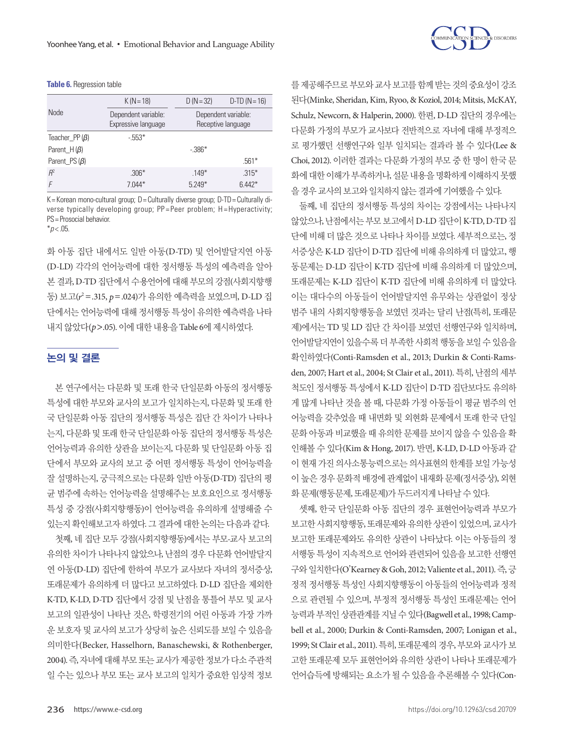#### **Table 6.** Regression table

| <b>Node</b>          | $K (N = 18)$                               | $D (N = 32)$                              | $D-TD (N = 16)$ |
|----------------------|--------------------------------------------|-------------------------------------------|-----------------|
|                      | Dependent variable:<br>Expressive language | Dependent variable:<br>Receptive language |                 |
| Teacher PP $(\beta)$ | $-553*$                                    |                                           |                 |
| Parent $H(\beta)$    |                                            | $-386*$                                   |                 |
| Parent $PS(\beta)$   |                                            |                                           | $.561*$         |
| $R^2$                | $.306*$                                    | $.149*$                                   | $.315*$         |
|                      | $7.044*$                                   | $5.249*$                                  | $6.442*$        |

K= Korean mono-cultural group;  $D =$  Culturally diverse group;  $D$ -TD = Culturally diverse typically developing group; PP=Peer problem; H=Hyperactivity; PS= Prosocial behavior.

 $*p$  < .05.

화 아동 집단 내에서도 일반 아동(D-TD) 및 언어발달지연 아동 (D-LD) 각각의 언어능력에 대한 정서행동 특성의 예측력을 알아 본 결과, D-TD 집단에서 수용언어에 대해 부모의 강점(사회지향행 동) 보고(*r* 2 =.315, *p*=.024)가 유의한 예측력을 보였으며, D-LD 집 단에서는 언어능력에 대해 정서행동 특성이 유의한 예측력을 나타 내지않았다(*p*>.05). 이에대한내용을 Table 6에제시하였다.

# 논의 및 결론

본 연구에서는 다문화 및 또래 한국 단일문화 아동의 정서행동 특성에 대한 부모와 교사의 보고가 일치하는지, 다문화 및 또래 한 국 단일문화 아동 집단의 정서행동 특성은 집단 간 차이가 나타나 는지, 다문화 및 또래 한국 단일문화 아동 집단의 정서행동 특성은 언어능력과 유의한 상관을 보이는지, 다문화 및 단일문화 아동 집 단에서 부모와 교사의 보고 중 어떤 정서행동 특성이 언어능력을 잘 설명하는지, 궁극적으로는 다문화 일반 아동(D-TD) 집단의 평 균 범주에 속하는 언어능력을 설명해주는 보호요인으로 정서행동 특성 중 강점(사회지향행동)이 언어능력을 유의하게 설명해줄 수 있는지확인해보고자하였다. 그결과에대한논의는다음과같다.

첫째, 네 집단 모두 강점(사회지향행동)에서는 부모-교사 보고의 유의한 차이가 나타나지 않았으나, 난점의 경우 다문화 언어발달지 연 아동(D-LD) 집단에 한하여 부모가 교사보다 자녀의 정서증상, 또래문제가 유의하게 더 많다고 보고하였다. D-LD 집단을 제외한 K-TD, K-LD, D-TD 집단에서 강점 및 난점을 통틀어 부모 및 교사 보고의 일관성이 나타난 것은, 학령전기의 어린 아동과 가장 가까 운 보호자 및 교사의 보고가 상당히 높은 신뢰도를 보일 수 있음을 의미한다(Becker, Hasselhorn, Banaschewski, & Rothenberger, 2004). 즉, 자녀에 대해 부모 또는 교사가 제공한 정보가 다소 주관적 일 수는 있으나 부모 또는 교사 보고의 일치가 중요한 임상적 정보



를제공해주므로부모와교사보고를함께받는것의중요성이강조 된다(Minke, Sheridan, Kim, Ryoo, & Koziol, 2014; Mitsis, McKAY, Schulz, Newcorn, & Halperin, 2000). 한편, D-LD 집단의 경우에는 다문화 가정의 부모가 교사보다 전반적으로 자녀에 대해 부정적으 로 평가했던 선행연구와 일부 일치되는 결과라 볼 수 있다(Lee & Choi, 2012). 이러한 결과는 다문화 가정의 부모 중 한 명이 한국 문 화에 대한 이해가 부족하거나, 설문 내용을 명확하게 이해하지 못했 을경우교사의보고와일치하지않는결과에기여했을수있다.

둘째, 네 집단의 정서행동 특성의 차이는 강점에서는 나타나지 않았으나, 난점에서는 부모 보고에서 D-LD 집단이 K-TD, D-TD 집 단에 비해 더 많은 것으로 나타나 차이를 보였다. 세부적으로는, 정 서증상은 K-LD 집단이 D-TD 집단에 비해 유의하게 더 많았고, 행 동문제는 D-LD 집단이 K-TD 집단에 비해 유의하게 더 많았으며, 또래문제는 K-LD 집단이 K-TD 집단에 비해 유의하게 더 많았다. 이는 대다수의 아동들이 언어발달지연 유무와는 상관없이 정상 범주 내의 사회지향행동을 보였던 것과는 달리 난점(특히, 또래문 제)에서는 TD 및 LD 집단 간 차이를 보였던 선행연구와 일치하며, 언어발달지연이있을수록더부족한사회적행동을보일수있음을 확인하였다(Conti-Ramsden et al., 2013; Durkin & Conti-Ramsden, 2007; Hart et al., 2004; St Clair et al., 2011). 특히, 난점의 세부 척도인 정서행동 특성에서 K-LD 집단이 D-TD 집단보다도 유의하 게 많게 나타난 것을 볼 때, 다문화 가정 아동들이 평균 범주의 언 어능력을 갖추었을 때 내면화 및 외현화 문제에서 또래 한국 단일 문화 아동과 비교했을 때 유의한 문제를 보이지 않을 수 있음을 확 인해볼 수 있다(Kim & Hong, 2017). 반면, K-LD, D-LD 아동과 같 이 현재 가진 의사소통능력으로는 의사표현의 한계를 보일 가능성 이 높은 경우 문화적 배경에 관계없이 내재화 문제(정서증상), 외현 화 문제(행동문제, 또래문제)가 두드러지게 나타날 수 있다.

셋째, 한국 단일문화 아동 집단의 경우 표현언어능력과 부모가 보고한 사회지향행동, 또래문제와 유의한 상관이 있었으며, 교사가 보고한 또래문제와도 유의한 상관이 나타났다. 이는 아동들의 정 서행동 특성이 지속적으로 언어와 관련되어 있음을 보고한 선행연 구와일치한다(O'Kearney & Goh, 2012; Valiente et al., 2011). 즉, 긍 정적 정서행동 특성인 사회지향행동이 아동들의 언어능력과 정적 으로 관련될 수 있으며, 부정적 정서행동 특성인 또래문제는 언어 능력과부적인상관관계를지닐수있다(Bagwell et al., 1998; Campbell et al., 2000; Durkin & Conti-Ramsden, 2007; Lonigan et al., 1999; St Clair et al., 2011). 특히, 또래문제의 경우, 부모와 교사가 보 고한 또래문제 모두 표현언어와 유의한 상관이 나타나 또래문제가 언어습득에 방해되는 요소가 될 수 있음을 추론해볼 수 있다(Con-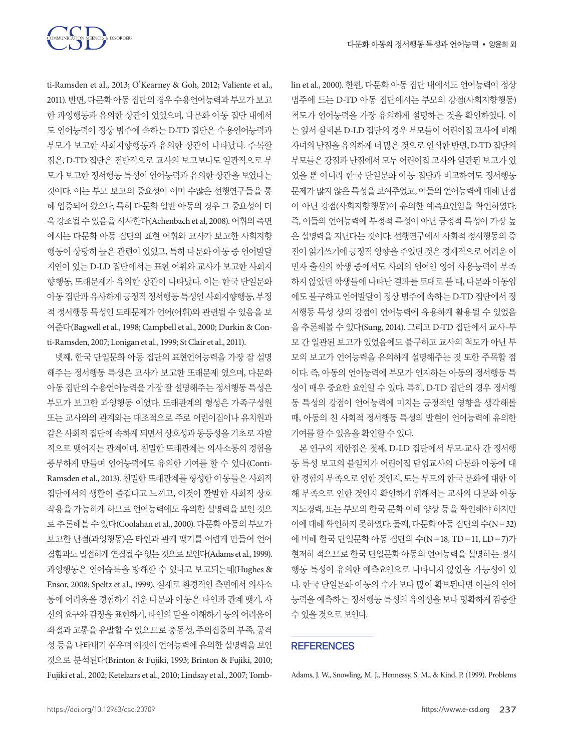

ti-Ramsden et al., 2013; O'Kearney & Goh, 2012; Valiente et al., 2011). 반면, 다문화아동집단의경우수용언어능력과부모가보고 한 과잉행동과 유의한 상관이 있었으며, 다문화 아동 집단 내에서 도 언어능력이 정상 범주에 속하는 D-TD 집단은 수용언어능력과 부모가 보고한 사회지향행동과 유의한 상관이 나타났다. 주목할 점은, D-TD 집단은 전반적으로 교사의 보고보다도 일관적으로 부 모가 보고한 정서행동 특성이 언어능력과 유의한 상관을 보였다는 것이다. 이는 부모 보고의 중요성이 이미 수많은 선행연구들을 통 해 입증되어 왔으나, 특히 다문화 일반 아동의 경우 그 중요성이 더 욱강조될수있음을시사한다(Achenbach et al, 2008). 어휘의측면 에서는 다문화 아동 집단의 표현 어휘와 교사가 보고한 사회지향 행동이 상당히 높은 관련이 있었고, 특히 다문화 아동 중 언어발달 지연이 있는 D-LD 집단에서는 표현 어휘와 교사가 보고한 사회지 향행동, 또래문제가 유의한 상관이 나타났다. 이는 한국 단일문화 아동 집단과 유사하게 긍정적 정서행동 특성인 사회지향행동, 부정 적 정서행동 특성인 또래문제가 언어(어휘)와 관련될 수 있음을 보 여준다(Bagwell et al., 1998; Campbell et al., 2000; Durkin & Conti-Ramsden, 2007; Lonigan et al., 1999; St Clair et al., 2011).

넷째, 한국 단일문화 아동 집단의 표현언어능력을 가장 잘 설명 해주는 정서행동 특성은 교사가 보고한 또래문제 였으며, 다문화 아동 집단의 수용언어능력을 가장 잘 설명해주는 정서행동 특성은 부모가 보고한 과잉행동 이었다. 또래관계의 형성은 가족구성원 또는 교사와의 관계와는 대조적으로 주로 어린이집이나 유치원과 같은사회적집단에속하게되면서상호성과동등성을기초로자발 적으로 맺어지는 관계이며, 친밀한 또래관계는 의사소통의 경험을 풍부하게 만들며 언어능력에도 유의한 기여를 할 수 있다(Conti-Ramsden et al., 2013). 친밀한 또래관계를 형성한 아동들은 사회적 집단에서의 생활이 즐겁다고 느끼고, 이것이 활발한 사회적 상호 작용을 가능하게 하므로 언어능력에도 유의한 설명력을 보인 것으 로 추론해볼 수 있다(Coolahan et al., 2000). 다문화 아동의 부모가 보고한 난점(과잉행동)은 타인과 관계 맺기를 어렵게 만들어 언어 결함과도밀접하게연결될수있는것으로보인다(Adams et al., 1999). 과잉행동은 언어습득을 방해할 수 있다고 보고되는데(Hughes & Ensor, 2008; Speltz et al., 1999), 실제로 환경적인 측면에서 의사소 통에 어려움을 경험하기 쉬운 다문화 아동은 타인과 관계 맺기, 자 신의 요구와 감정을 표현하기, 타인의 말을 이해하기 등의 어려움이 좌절과 고통을 유발할 수 있으므로 충동성, 주의집중의 부족, 공격 성 등을 나타내기 쉬우며 이것이 언어능력에 유의한 설명력을 보인 것으로 분석된다(Brinton & Fujiki, 1993; Brinton & Fujiki, 2010; Fujiki et al., 2002; Ketelaars et al., 2010; Lindsay et al., 2007; Tomblin et al., 2000). 한편, 다문화 아동 집단 내에서도 언어능력이 정상 범주에 드는 D-TD 아동 집단에서는 부모의 강점(사회지향행동) 척도가 언어능력을 가장 유의하게 설명하는 것을 확인하였다. 이 는 앞서 살펴본 D-LD 집단의 경우 부모들이 어린이집 교사에 비해 자녀의난점을유의하게더많은것으로인식한반면, D-TD 집단의 부모들은 강점과 난점에서 모두 어린이집 교사와 일관된 보고가 있 었을 뿐 아니라 한국 단일문화 아동 집단과 비교하여도 정서행동 문제가 많지 않은 특성을 보여주었고, 이들의 언어능력에 대해 난점 이 아닌 강점(사회지향행동)이 유의한 예측요인임을 확인하였다. 즉, 이들의 언어능력에 부정적 특성이 아닌 긍정적 특성이 가장 높 은 설명력을 지닌다는 것이다. 선행연구에서 사회적 정서행동의 증 진이 읽기쓰기에 긍정적 영향을 주었던 것은 경제적으로 어려운 이 민자 출신의 학생 중에서도 사회의 언어인 영어 사용능력이 부족 하지 않았던 학생들에 나타난 결과를 토대로 볼 때, 다문화 아동임 에도 불구하고 언어발달이 정상 범주에 속하는 D-TD 집단에서 정 서행동 특성 상의 강점이 언어능력에 유용하게 활용될 수 있었음 을 추론해볼 수 있다(Sung, 2014). 그리고 D-TD 집단에서 교사-부 모 간 일관된 보고가 있었음에도 불구하고 교사의 척도가 아닌 부 모의 보고가 언어능력을 유의하게 설명해주는 것 또한 주목할 점 이다. 즉, 아동의 언어능력에 부모가 인지하는 아동의 정서행동 특 성이 매우 중요한 요인일 수 있다. 특히, D-TD 집단의 경우 정서행 동 특성의 강점이 언어능력에 미치는 긍정적인 영향을 생각해볼 때, 아동의 친 사회적 정서행동 특성의 발현이 언어능력에 유의한 기여를할수있음을확인할수있다.

본 연구의 제한점은 첫째, D-LD 집단에서 부모-교사 간 정서행 동 특성 보고의 불일치가 어린이집 담임교사의 다문화 아동에 대 한 경험의 부족으로 인한 것인지, 또는 부모의 한국 문화에 대한 이 해 부족으로 인한 것인지 확인하기 위해서는 교사의 다문화 아동 지도경력, 또는 부모의 한국 문화 이해 양상 등을 확인해야 하지만 이에대해확인하지못하였다. 둘째, 다문화아동집단의수(N=32) 에 비해 한국 단일문화 아동 집단의 수(N=18, TD=11, LD=7)가 현저히 적으므로 한국 단일문화 아동의 언어능력을 설명하는 정서 행동 특성이 유의한 예측요인으로 나타나지 않았을 가능성이 있 다. 한국 단일문화 아동의 수가 보다 많이 확보된다면 이들의 언어 능력을 예측하는 정서행동 특성의 유의성을 보다 명확하게 검증할 수있을것으로보인다.

### **REFERENCES**

Adams, J. W., Snowling, M. J., Hennessy, S. M., & Kind, P. (1999). Problems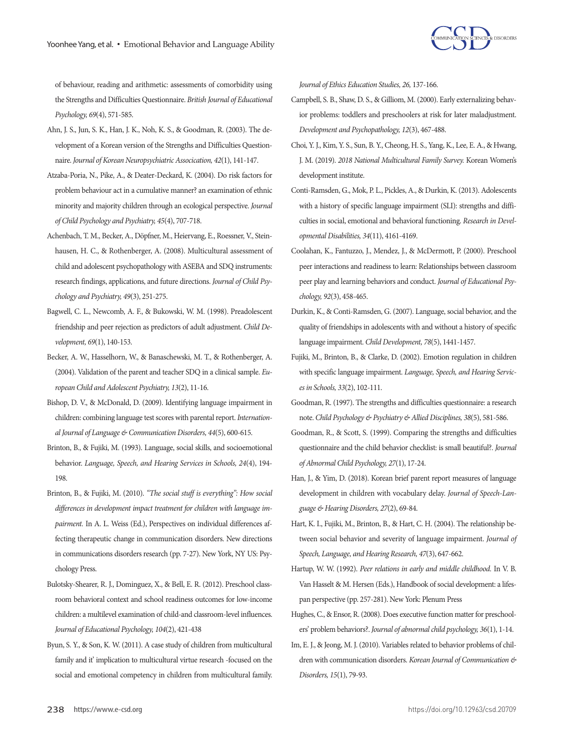

of behaviour, reading and arithmetic: assessments of comorbidity using the Strengths and Difficulties Questionnaire. *British Journal of Educational Psychology, 69*(4), 571-585.

- Ahn, J. S., Jun, S. K., Han, J. K., Noh, K. S., & Goodman, R. (2003). The development of a Korean version of the Strengths and Difficulties Questionnaire. *Journal of Korean Neuropsychiatric Assocication, 42*(1), 141-147.
- Atzaba‐Poria, N., Pike, A., & Deater‐Deckard, K. (2004). Do risk factors for problem behaviour act in a cumulative manner? an examination of ethnic minority and majority children through an ecological perspective. *Journal of Child Psychology and Psychiatry, 45*(4), 707-718.
- Achenbach, T. M., Becker, A., Döpfner, M., Heiervang, E., Roessner, V., Steinhausen, H. C., & Rothenberger, A. (2008). Multicultural assessment of child and adolescent psychopathology with ASEBA and SDQ instruments: research findings, applications, and future directions. *Journal of Child Psychology and Psychiatry, 49*(3), 251-275.
- Bagwell, C. L., Newcomb, A. F., & Bukowski, W. M. (1998). Preadolescent friendship and peer rejection as predictors of adult adjustment. *Child Development, 69*(1), 140-153.
- Becker, A. W., Hasselhorn, W., & Banaschewski, M. T., & Rothenberger, A. (2004). Validation of the parent and teacher SDQ in a clinical sample. *European Child and Adolescent Psychiatry, 13*(2), 11-16.
- Bishop, D. V., & McDonald, D. (2009). Identifying language impairment in children: combining language test scores with parental report. *International Journal of Language & Communication Disorders, 44*(5), 600-615.
- Brinton, B., & Fujiki, M. (1993). Language, social skills, and socioemotional behavior. *Language, Speech, and Hearing Services in Schools, 24*(4), 194- 198.
- Brinton, B., & Fujiki, M. (2010). *"The social stuff is everything": How social differences in development impact treatment for children with language impairment.* In A. L. Weiss (Ed.), Perspectives on individual differences affecting therapeutic change in communication disorders. New directions in communications disorders research (pp. 7-27). New York, NY US: Psychology Press.
- Bulotsky-Shearer, R. J., Dominguez, X., & Bell, E. R. (2012). Preschool classroom behavioral context and school readiness outcomes for low-income children: a multilevel examination of child-and classroom-level influences. *Journal of Educational Psychology, 104*(2), 421-438
- Byun, S. Y., & Son, K. W. (2011). A case study of children from multicultural family and it' implication to multicultural virtue research -focused on the social and emotional competency in children from multicultural family.

*Journal of Ethics Education Studies, 26,* 137-166.

- Campbell, S. B., Shaw, D. S., & Gilliom, M. (2000). Early externalizing behavior problems: toddlers and preschoolers at risk for later maladjustment. *Development and Psychopathology, 12*(3), 467-488.
- Choi, Y. J., Kim, Y. S., Sun, B. Y., Cheong, H. S., Yang, K., Lee, E. A., & Hwang, J. M. (2019). *2018 National Multicultural Family Survey.* Korean Women's development institute.
- Conti-Ramsden, G., Mok, P. L., Pickles, A., & Durkin, K. (2013). Adolescents with a history of specific language impairment (SLI): strengths and difficulties in social, emotional and behavioral functioning. *Research in Developmental Disabilities, 34*(11), 4161-4169.
- Coolahan, K., Fantuzzo, J., Mendez, J., & McDermott, P. (2000). Preschool peer interactions and readiness to learn: Relationships between classroom peer play and learning behaviors and conduct. *Journal of Educational Psychology, 92*(3), 458-465.
- Durkin, K., & Conti‐Ramsden, G. (2007). Language, social behavior, and the quality of friendships in adolescents with and without a history of specific language impairment. *Child Development, 78*(5), 1441-1457.
- Fujiki, M., Brinton, B., & Clarke, D. (2002). Emotion regulation in children with specific language impairment. *Language, Speech, and Hearing Services in Schools, 33*(2), 102-111.
- Goodman, R. (1997). The strengths and difficulties questionnaire: a research note. *Child Psychology & Psychiatry & Allied Disciplines, 38*(5), 581-586.
- Goodman, R., & Scott, S. (1999). Comparing the strengths and difficulties questionnaire and the child behavior checklist: is small beautiful?. *Journal of Abnormal Child Psychology, 27*(1), 17-24.
- Han, J., & Yim, D. (2018). Korean brief parent report measures of language development in children with vocabulary delay. *Journal of Speech-Language & Hearing Disorders, 27*(2), 69-84.
- Hart, K. I., Fujiki, M., Brinton, B., & Hart, C. H. (2004). The relationship between social behavior and severity of language impairment. *Journal of Speech, Language, and Hearing Research, 47*(3), 647-662.
- Hartup, W. W. (1992). *Peer relations in early and middle childhood.* In V. B. Van Hasselt & M. Hersen (Eds.), Handbook of social development: a lifespan perspective (pp. 257-281). New York: Plenum Press
- Hughes, C., & Ensor, R. (2008). Does executive function matter for preschoolers' problem behaviors?. *Journal of abnormal child psychology, 36*(1), 1-14.
- Im, E. J., & Jeong, M. J. (2010). Variables related to behavior problems of children with communication disorders. *Korean Journal of Communication & Disorders, 15*(1), 79-93.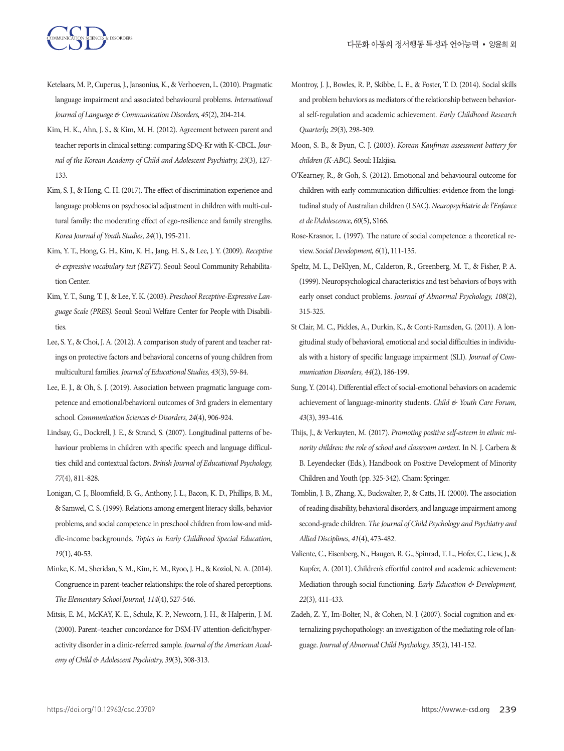- Ketelaars, M. P., Cuperus, J., Jansonius, K., & Verhoeven, L. (2010). Pragmatic language impairment and associated behavioural problems. *International Journal of Language & Communication Disorders, 45*(2), 204-214.
- Kim, H. K., Ahn, J. S., & Kim, M. H. (2012). Agreement between parent and teacher reports in clinical setting: comparing SDQ-Kr with K-CBCL. *Journal of the Korean Academy of Child and Adolescent Psychiatry, 23*(3), 127- 133.
- Kim, S. J., & Hong, C. H. (2017). The effect of discrimination experience and language problems on psychosocial adjustment in children with multi-cultural family: the moderating effect of ego-resilience and family strengths. *Korea Journal of Youth Studies, 24*(1), 195-211.
- Kim, Y. T., Hong, G. H., Kim, K. H., Jang, H. S., & Lee, J. Y. (2009). *Receptive & expressive vocabulary test (REVT).* Seoul: Seoul Community Rehabilitation Center.
- Kim, Y. T., Sung, T. J., & Lee, Y. K. (2003). *Preschool Receptive-Expressive Language Scale (PRES).* Seoul: Seoul Welfare Center for People with Disabilities.
- Lee, S. Y., & Choi, J. A. (2012). A comparison study of parent and teacher ratings on protective factors and behavioral concerns of young children from multicultural families. *Journal of Educational Studies, 43*(3), 59-84.
- Lee, E. J., & Oh, S. J. (2019). Association between pragmatic language competence and emotional/behavioral outcomes of 3rd graders in elementary school. *Communication Sciences & Disorders, 24*(4), 906-924.
- Lindsay, G., Dockrell, J. E., & Strand, S. (2007). Longitudinal patterns of behaviour problems in children with specific speech and language difficulties: child and contextual factors. *British Journal of Educational Psychology, 77*(4), 811-828.
- Lonigan, C. J., Bloomfield, B. G., Anthony, J. L., Bacon, K. D., Phillips, B. M., & Samwel, C. S. (1999). Relations among emergent literacy skills, behavior problems, and social competence in preschool children from low-and middle-income backgrounds. *Topics in Early Childhood Special Education, 19*(1), 40-53.
- Minke, K. M., Sheridan, S. M., Kim, E. M., Ryoo, J. H., & Koziol, N. A. (2014). Congruence in parent-teacher relationships: the role of shared perceptions. *The Elementary School Journal, 114*(4), 527-546.
- Mitsis, E. M., McKAY, K. E., Schulz, K. P., Newcorn, J. H., & Halperin, J. M. (2000). Parent–teacher concordance for DSM-IV attention-deficit/hyperactivity disorder in a clinic-referred sample. *Journal of the American Academy of Child & Adolescent Psychiatry, 39*(3), 308-313.
- Montroy, J. J., Bowles, R. P., Skibbe, L. E., & Foster, T. D. (2014). Social skills and problem behaviors as mediators of the relationship between behavioral self-regulation and academic achievement. *Early Childhood Research Quarterly, 29*(3), 298-309.
- Moon, S. B., & Byun, C. J. (2003). *Korean Kaufman assessment battery for children (K-ABC).* Seoul: Hakjisa.
- O'Kearney, R., & Goh, S. (2012). Emotional and behavioural outcome for children with early communication difficulties: evidence from the longitudinal study of Australian children (LSAC). *Neuropsychiatrie de l'Enfance et de l'Adolescence, 60*(5), S166.
- Rose‐Krasnor, L. (1997). The nature of social competence: a theoretical review. *Social Development, 6*(1), 111-135.
- Speltz, M. L., DeKlyen, M., Calderon, R., Greenberg, M. T., & Fisher, P. A. (1999). Neuropsychological characteristics and test behaviors of boys with early onset conduct problems. *Journal of Abnormal Psychology, 108*(2), 315-325.
- St Clair, M. C., Pickles, A., Durkin, K., & Conti-Ramsden, G. (2011). A longitudinal study of behavioral, emotional and social difficulties in individuals with a history of specific language impairment (SLI). *Journal of Communication Disorders, 44*(2), 186-199.
- Sung, Y. (2014). Differential effect of social-emotional behaviors on academic achievement of language-minority students. *Child & Youth Care Forum, 43*(3), 393-416.
- Thijs, J., & Verkuyten, M. (2017). *Promoting positive self-esteem in ethnic minority children: the role of school and classroom context.* In N. J. Carbera & B. Leyendecker (Eds.), Handbook on Positive Development of Minority Children and Youth (pp. 325-342). Cham: Springer.
- Tomblin, J. B., Zhang, X., Buckwalter, P., & Catts, H. (2000). The association of reading disability, behavioral disorders, and language impairment among second-grade children. *The Journal of Child Psychology and Psychiatry and Allied Disciplines, 41*(4), 473-482.
- Valiente, C., Eisenberg, N., Haugen, R. G., Spinrad, T. L., Hofer, C., Liew, J., & Kupfer, A. (2011). Children's effortful control and academic achievement: Mediation through social functioning. *Early Education & Development, 22*(3), 411-433.
- Zadeh, Z. Y., Im-Bolter, N., & Cohen, N. J. (2007). Social cognition and externalizing psychopathology: an investigation of the mediating role of language. *Journal of Abnormal Child Psychology, 35*(2), 141-152.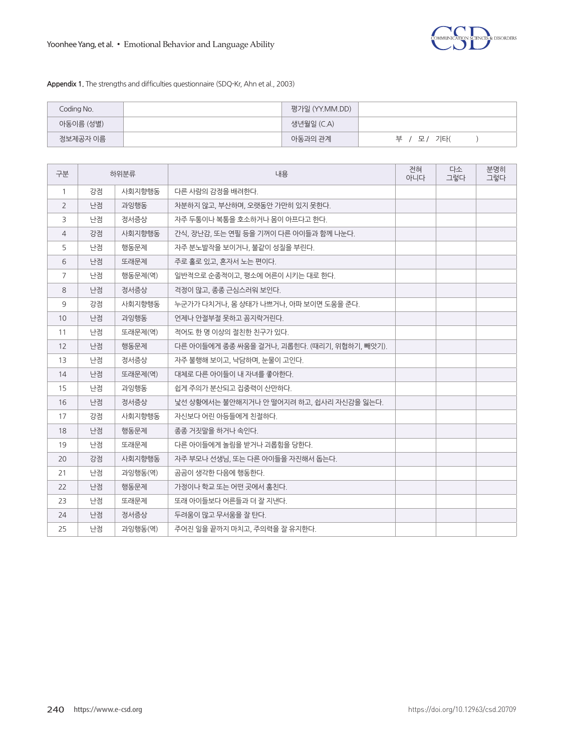**Appendix 1.** The strengths and difficulties questionnaire (SDQ-Kr, Ahn et al., 2003)

| Coding No. | 평가일 (YY.MM.DD) |               |
|------------|----------------|---------------|
| 아동이름 (성별)  | 생년월일 (C.A)     |               |
| 정보제공자 이름   | 아동과의 관계        | 브<br>기타(<br>모 |

| 구분             | 하위분류 |         | 내용                                           | 전혀<br>아니다 | 다소<br>그렇다 | 분명히<br>그렇다 |
|----------------|------|---------|----------------------------------------------|-----------|-----------|------------|
| $\mathbf{1}$   | 강점   | 사회지향행동  | 다른 사람의 감정을 배려한다.                             |           |           |            |
| 2              | 난점   | 과잉행동    | 차분하지 않고, 부산하며, 오랫동안 가만히 있지 못한다.              |           |           |            |
| 3              | 난점   | 정서증상    | 자주 두통이나 복통을 호소하거나 몸이 아프다고 한다.                |           |           |            |
| $\overline{4}$ | 강점   | 사회지향행동  | 간식, 장난감, 또는 연필 등을 기꺼이 다른 아이들과 함께 나눈다.        |           |           |            |
| 5              | 난점   | 행동문제    | 자주 분노발작을 보이거나, 불같이 성질을 부린다.                  |           |           |            |
| 6              | 난점   | 또래문제    | 주로 홀로 있고, 혼자서 노는 편이다.                        |           |           |            |
| $\overline{7}$ | 난점   | 행동문제(역) | 일반적으로 순종적이고, 평소에 어른이 시키는 대로 한다.              |           |           |            |
| 8              | 난점   | 정서증상    | 걱정이 많고, 종종 근심스러워 보인다.                        |           |           |            |
| 9              | 강점   | 사회지향행동  | 누군가가 다치거나, 몸 상태가 나쁘거나, 아파 보이면 도움을 준다.        |           |           |            |
| 10             | 난점   | 과잉행동    | 언제나 안절부절 못하고 꼼지락거린다.                         |           |           |            |
| 11             | 난점   | 또래문제(역) | 적어도 한 명 이상의 절친한 친구가 있다.                      |           |           |            |
| 12             | 난점   | 행동문제    | 다른 아이들에게 종종 싸움을 걸거나, 괴롭힌다. (때리기, 위협하기, 빼앗기). |           |           |            |
| 13             | 난점   | 정서증상    | 자주 불행해 보이고, 낙담하며, 눈물이 고인다.                   |           |           |            |
| 14             | 난점   | 또래문제(역) | 대체로 다른 아이들이 내 자녀를 좋아하다.                      |           |           |            |
| 15             | 난점   | 과잉행동    | 쉽게 주의가 분산되고 집중력이 산만하다.                       |           |           |            |
| 16             | 난점   | 정서증상    | 낯선 상황에서는 불안해지거나 안 떨어지려 하고, 쉽사리 자신감을 잃는다.     |           |           |            |
| 17             | 강점   | 사회지향행동  | 자신보다 어린 아등들에게 친절하다.                          |           |           |            |
| 18             | 난점   | 행동문제    | 종종 거짓말을 하거나 속인다.                             |           |           |            |
| 19             | 난점   | 또래문제    | 다른 아이들에게 놀림을 받거나 괴롭힘을 당한다.                   |           |           |            |
| 20             | 강점   | 사회지향행동  | 자주 부모나 선생님, 또는 다른 아이들을 자진해서 돕는다.             |           |           |            |
| 21             | 난점   | 과잉행동(역) | 곰곰이 생각한 다음에 행동한다.                            |           |           |            |
| 22             | 난점   | 행동문제    | 가정이나 학교 또는 어떤 곳에서 훔친다.                       |           |           |            |
| 23             | 난점   | 또래문제    | 또래 아이들보다 어른들과 더 잘 지낸다.                       |           |           |            |
| 24             | 난점   | 정서증상    | 두려움이 많고 무서움을 잘 탄다.                           |           |           |            |
| 25             | 난점   | 과잉행동(역) | 주어진 일을 끝까지 마치고, 주의력을 잘 유지한다.                 |           |           |            |